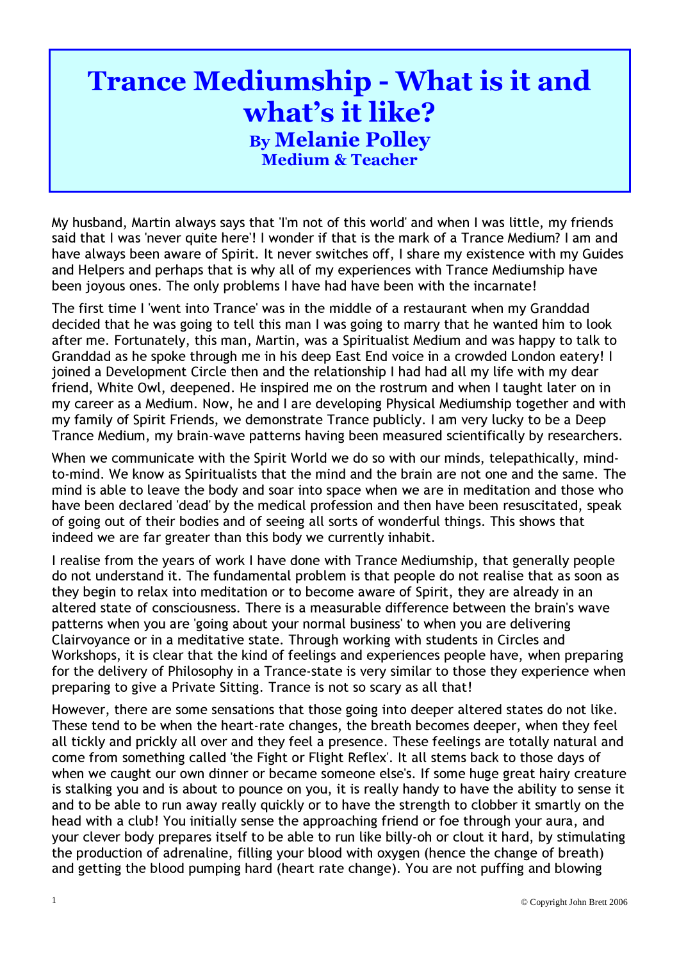## Trance Mediumship - What is it and what's it like? By Melanie Polley Medium & Teacher

My husband, Martin always says that 'I'm not of this world' and when I was little, my friends said that I was 'never quite here'! I wonder if that is the mark of a Trance Medium? I am and have always been aware of Spirit. It never switches off, I share my existence with my Guides and Helpers and perhaps that is why all of my experiences with Trance Mediumship have been joyous ones. The only problems I have had have been with the incarnate!

The first time I 'went into Trance' was in the middle of a restaurant when my Granddad decided that he was going to tell this man I was going to marry that he wanted him to look after me. Fortunately, this man, Martin, was a Spiritualist Medium and was happy to talk to Granddad as he spoke through me in his deep East End voice in a crowded London eatery! I joined a Development Circle then and the relationship I had had all my life with my dear friend, White Owl, deepened. He inspired me on the rostrum and when I taught later on in my career as a Medium. Now, he and I are developing Physical Mediumship together and with my family of Spirit Friends, we demonstrate Trance publicly. I am very lucky to be a Deep Trance Medium, my brain-wave patterns having been measured scientifically by researchers.

When we communicate with the Spirit World we do so with our minds, telepathically, mindto-mind. We know as Spiritualists that the mind and the brain are not one and the same. The mind is able to leave the body and soar into space when we are in meditation and those who have been declared 'dead' by the medical profession and then have been resuscitated, speak of going out of their bodies and of seeing all sorts of wonderful things. This shows that indeed we are far greater than this body we currently inhabit.

I realise from the years of work I have done with Trance Mediumship, that generally people do not understand it. The fundamental problem is that people do not realise that as soon as they begin to relax into meditation or to become aware of Spirit, they are already in an altered state of consciousness. There is a measurable difference between the brain's wave patterns when you are 'going about your normal business' to when you are delivering Clairvoyance or in a meditative state. Through working with students in Circles and Workshops, it is clear that the kind of feelings and experiences people have, when preparing for the delivery of Philosophy in a Trance-state is very similar to those they experience when preparing to give a Private Sitting. Trance is not so scary as all that!

However, there are some sensations that those going into deeper altered states do not like. These tend to be when the heart-rate changes, the breath becomes deeper, when they feel all tickly and prickly all over and they feel a presence. These feelings are totally natural and come from something called 'the Fight or Flight Reflex'. It all stems back to those days of when we caught our own dinner or became someone else's. If some huge great hairy creature is stalking you and is about to pounce on you, it is really handy to have the ability to sense it and to be able to run away really quickly or to have the strength to clobber it smartly on the head with a club! You initially sense the approaching friend or foe through your aura, and your clever body prepares itself to be able to run like billy-oh or clout it hard, by stimulating the production of adrenaline, filling your blood with oxygen ( hence the change of breath) and getting the blood pumping hard ( heart rate change). You are not puffing and blowing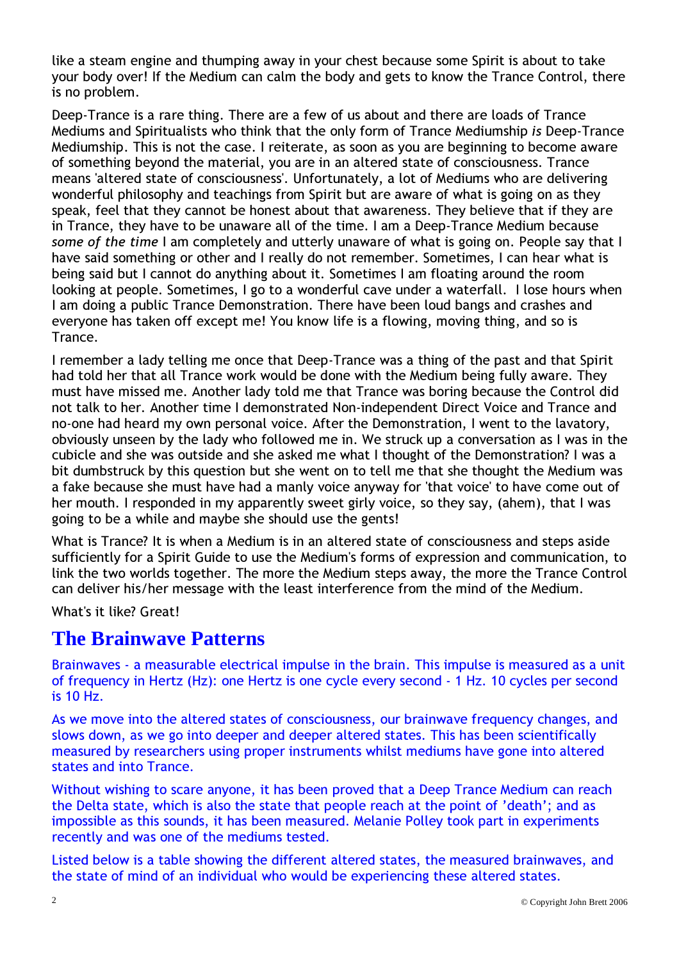like a steam engine and thumping away in your chest because some Spirit is about to take your body over! If the Medium can calm the body and gets to know the Trance Control, there is no problem.

Deep-Trance is a rare thing. There are a few of us about and there are loads of Trance Mediums and Spiritualists who think that the only form of Trance Mediumship is Deep-Trance Mediumship. This is not the case. I reiterate, as soon as you are beginning to become aware of something beyond the material, you are in an altered state of consciousness. Trance means 'altered state of consciousness'. Unfortunately, a lot of Mediums who are delivering wonderful philosophy and teachings from Spirit but are aware of what is going on as they speak, feel that they cannot be honest about that awareness. They believe that if they are in Trance, they have to be unaware all of the time. I am a Deep-Trance Medium because some of the time I am completely and utterly unaware of what is going on. People say that I have said something or other and I really do not remember. Sometimes, I can hear what is being said but I cannot do anything about it. Sometimes I am floating around the room looking at people. Sometimes, I go to a wonderful cave under a waterfall. I lose hours when I am doing a public Trance Demonstration. There have been loud bangs and crashes and everyone has taken off except me! You know life is a flowing, moving thing, and so is Trance.

I remember a lady telling me once that Deep -Trance was a thing of the past and that Spirit had told her that all Trance work would be done with the Medium being fully aware. They must have missed me. Another lady told me that Trance was boring because the Control did not talk to her. Another time I demonstrated Non-independent Direct Voice and Trance and no-one had heard my own personal voice. After the Demonstration, I went to the lavatory, obviously unseen by the lady who followed me in. We struck up a conversation as I was in the cubicle and she was outside and she asked me what I thought of the Demonstration? I was a bit dumbstruck by this question but she went on to tell me that she thought the Medium was a fake because she must have had a manly voice anyway for 'that voice' to have come out of her mouth. I responded in my apparently sweet girly voice, so they say, (ahem), that I was going to be a while and maybe she should use the gents!

What is Trance? It is when a Medium is in an altered state of consciousness and steps aside sufficiently for a Spirit Guide to use the Medium's forms of expression and communication, to link the two worlds together. The more the Medium steps away, the more the Trance Control can deliver his/her message with the least interference from the mind of the Medium.

What's it like? Great!

## **The Brainwave Patterns**

Brainwaves - a measurable electrical impulse in the brain. This impulse is measured as a unit of frequency in Hertz (Hz): one Hertz is one cycle every second - 1 Hz. 10 cycles per second is 10 Hz.

As we move into the altered states of consciousness, our brainwave frequency changes, and slows down, as we go into deeper and deeper altered states. This has been scientifically measured by researchers using proper instruments whilst mediums have gone into altered states and into Trance.

Without wishing to scare anyone, it has been proved that a Deep Trance Medium can reach the Delta state, which is also the state that people reach at the point of 'death': and as impossible as this sounds, it has been measured. Melanie Polley took part in experiments recently and was one of the mediums tested.

Listed below is a table showing the different altered states, the measured brainwaves, and the state of mind of an individual who would be experiencing these altered states.